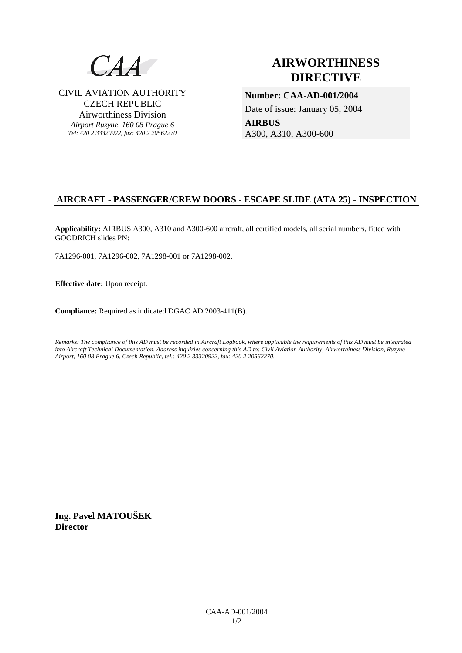

CIVIL AVIATION AUTHORITY CZECH REPUBLIC Airworthiness Division *Airport Ruzyne, 160 08 Prague 6 Tel: 420 2 33320922, fax: 420 2 20562270*

# **AIRWORTHINESS DIRECTIVE**

**Number: CAA-AD-001/2004**  Date of issue: January 05, 2004 **AIRBUS**  A300, A310, A300-600

# **AIRCRAFT - PASSENGER/CREW DOORS - ESCAPE SLIDE (ATA 25) - INSPECTION**

**Applicability:** AIRBUS A300, A310 and A300-600 aircraft, all certified models, all serial numbers, fitted with GOODRICH slides PN:

7A1296-001, 7A1296-002, 7A1298-001 or 7A1298-002.

**Effective date:** Upon receipt.

**Compliance:** Required as indicated DGAC AD 2003-411(B).

*Remarks: The compliance of this AD must be recorded in Aircraft Logbook, where applicable the requirements of this AD must be integrated into Aircraft Technical Documentation. Address inquiries concerning this AD to: Civil Aviation Authority, Airworthiness Division, Ruzyne Airport, 160 08 Prague 6, Czech Republic, tel.: 420 2 33320922, fax: 420 2 20562270.* 

**Ing. Pavel MATOUŠEK Director**